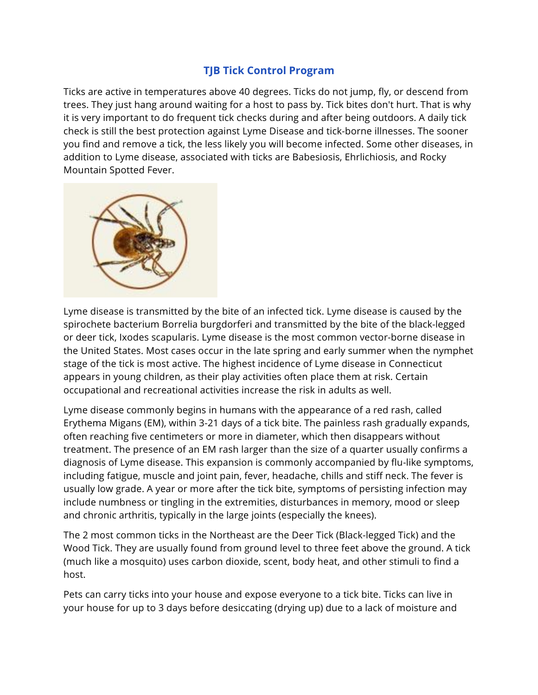## **TJB Tick Control Program**

Ticks are active in temperatures above 40 degrees. Ticks do not jump, fly, or descend from trees. They just hang around waiting for a host to pass by. Tick bites don't hurt. That is why it is very important to do frequent tick checks during and after being outdoors. A daily tick check is still the best protection against Lyme Disease and tick-borne illnesses. The sooner you find and remove a tick, the less likely you will become infected. Some other diseases, in addition to Lyme disease, associated with ticks are Babesiosis, Ehrlichiosis, and Rocky Mountain Spotted Fever.



Lyme disease is transmitted by the bite of an infected tick. Lyme disease is caused by the spirochete bacterium Borrelia burgdorferi and transmitted by the bite of the black-legged or deer tick, Ixodes scapularis. Lyme disease is the most common vector-borne disease in the United States. Most cases occur in the late spring and early summer when the nymphet stage of the tick is most active. The highest incidence of Lyme disease in Connecticut appears in young children, as their play activities often place them at risk. Certain occupational and recreational activities increase the risk in adults as well.

Lyme disease commonly begins in humans with the appearance of a red rash, called Erythema Migans (EM), within 3-21 days of a tick bite. The painless rash gradually expands, often reaching five centimeters or more in diameter, which then disappears without treatment. The presence of an EM rash larger than the size of a quarter usually confirms a diagnosis of Lyme disease. This expansion is commonly accompanied by flu-like symptoms, including fatigue, muscle and joint pain, fever, headache, chills and stiff neck. The fever is usually low grade. A year or more after the tick bite, symptoms of persisting infection may include numbness or tingling in the extremities, disturbances in memory, mood or sleep and chronic arthritis, typically in the large joints (especially the knees).

The 2 most common ticks in the Northeast are the Deer Tick (Black-legged Tick) and the Wood Tick. They are usually found from ground level to three feet above the ground. A tick (much like a mosquito) uses carbon dioxide, scent, body heat, and other stimuli to find a host.

Pets can carry ticks into your house and expose everyone to a tick bite. Ticks can live in your house for up to 3 days before desiccating (drying up) due to a lack of moisture and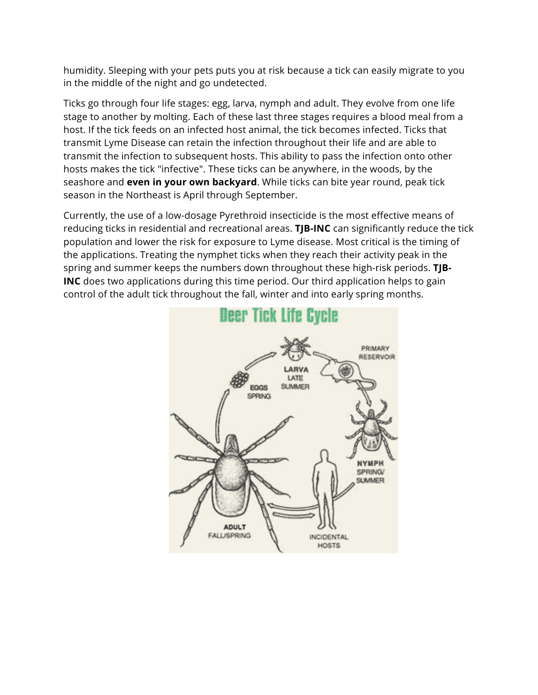humidity. Sleeping with your pets puts you at risk because a tick can easily migrate to you in the middle of the night and go undetected.

Ticks go through four life stages: egg, larva, nymph and adult. They evolve from one life stage to another by molting. Each of these last three stages requires a blood meal from a host. If the tick feeds on an infected host animal, the tick becomes infected. Ticks that transmit Lyme Disease can retain the infection throughout their life and are able to transmit the infection to subsequent hosts. This ability to pass the infection onto other hosts makes the tick "infective". These ticks can be anywhere, in the woods, by the seashore and **even in your own backyard**. While ticks can bite year round, peak tick season in the Northeast is April through September.

Currently, the use of a low-dosage Pyrethroid insecticide is the most effective means of reducing ticks in residential and recreational areas. **TJB-INC** can significantly reduce the tick population and lower the risk for exposure to Lyme disease. Most critical is the timing of the applications. Treating the nymphet ticks when they reach their activity peak in the spring and summer keeps the numbers down throughout these high-risk periods. **TJB-INC** does two applications during this time period. Our third application helps to gain control of the adult tick throughout the fall, winter and into early spring months.